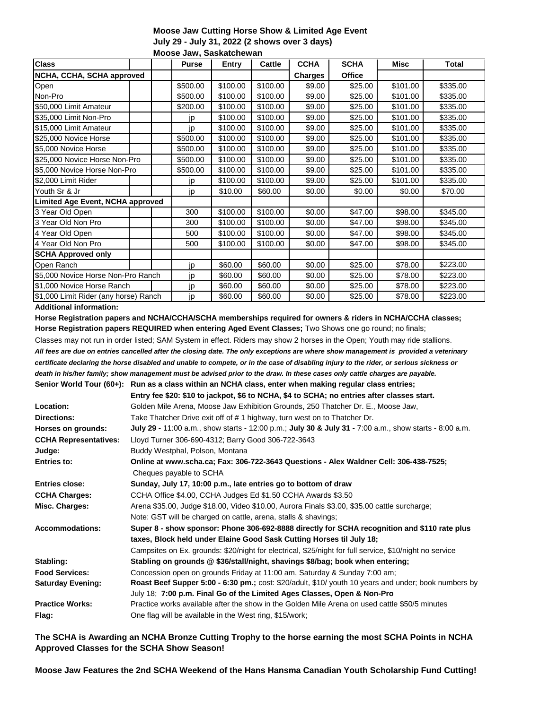### **Moose Jaw Cutting Horse Show & Limited Age Event July 29 - July 31, 2022 (2 shows over 3 days) Moose Jaw, Saskatchewan**

| <b>Class</b>                          |  |          | <b>Purse</b> | <b>Entry</b> | Cattle         | <b>CCHA</b>   | <b>SCHA</b> | Misc     | <b>Total</b> |
|---------------------------------------|--|----------|--------------|--------------|----------------|---------------|-------------|----------|--------------|
| NCHA, CCHA, SCHA approved             |  |          |              |              | <b>Charges</b> | <b>Office</b> |             |          |              |
| Open                                  |  |          | \$500.00     | \$100.00     | \$100.00       | \$9.00        | \$25.00     | \$101.00 | \$335.00     |
| Non-Pro                               |  |          | \$500.00     | \$100.00     | \$100.00       | \$9.00        | \$25.00     | \$101.00 | \$335.00     |
| \$50,000 Limit Amateur                |  |          | \$200.00     | \$100.00     | \$100.00       | \$9.00        | \$25.00     | \$101.00 | \$335.00     |
| \$35,000 Limit Non-Pro                |  |          | jp           | \$100.00     | \$100.00       | \$9.00        | \$25.00     | \$101.00 | \$335.00     |
| \$15,000 Limit Amateur                |  |          | jp           | \$100.00     | \$100.00       | \$9.00        | \$25.00     | \$101.00 | \$335.00     |
| \$25,000 Novice Horse                 |  |          | \$500.00     | \$100.00     | \$100.00       | \$9.00        | \$25.00     | \$101.00 | \$335.00     |
| \$5,000 Novice Horse                  |  |          | \$500.00     | \$100.00     | \$100.00       | \$9.00        | \$25.00     | \$101.00 | \$335.00     |
| \$25,000 Novice Horse Non-Pro         |  | \$500.00 | \$100.00     | \$100.00     | \$9.00         | \$25.00       | \$101.00    | \$335.00 |              |
| \$5,000 Novice Horse Non-Pro          |  | \$500.00 | \$100.00     | \$100.00     | \$9.00         | \$25.00       | \$101.00    | \$335.00 |              |
| \$2,000 Limit Rider                   |  |          | jp           | \$100.00     | \$100.00       | \$9.00        | \$25.00     | \$101.00 | \$335.00     |
| Youth Sr & Jr                         |  |          | jp           | \$10.00      | \$60.00        | \$0.00        | \$0.00      | \$0.00   | \$70.00      |
| Limited Age Event, NCHA approved      |  |          |              |              |                |               |             |          |              |
| 3 Year Old Open                       |  |          | 300          | \$100.00     | \$100.00       | \$0.00        | \$47.00     | \$98.00  | \$345.00     |
| 3 Year Old Non Pro                    |  |          | 300          | \$100.00     | \$100.00       | \$0.00        | \$47.00     | \$98.00  | \$345.00     |
| 4 Year Old Open                       |  |          | 500          | \$100.00     | \$100.00       | \$0.00        | \$47.00     | \$98.00  | \$345.00     |
| 4 Year Old Non Pro                    |  |          | 500          | \$100.00     | \$100.00       | \$0.00        | \$47.00     | \$98.00  | \$345.00     |
| <b>SCHA Approved only</b>             |  |          |              |              |                |               |             |          |              |
| Open Ranch                            |  |          | jp           | \$60.00      | \$60.00        | \$0.00        | \$25.00     | \$78.00  | \$223.00     |
| \$5,000 Novice Horse Non-Pro Ranch    |  | jp       | \$60.00      | \$60.00      | \$0.00         | \$25.00       | \$78.00     | \$223.00 |              |
| \$1,000 Novice Horse Ranch            |  | jp       | \$60.00      | \$60.00      | \$0.00         | \$25.00       | \$78.00     | \$223.00 |              |
| \$1,000 Limit Rider (any horse) Ranch |  | jp       | \$60.00      | \$60.00      | \$0.00         | \$25.00       | \$78.00     | \$223.00 |              |

### **Additional information:**

**Horse Registration papers and NCHA/CCHA/SCHA memberships required for owners & riders in NCHA/CCHA classes; Horse Registration papers REQUIRED when entering Aged Event Classes;** Two Shows one go round; no finals;

Classes may not run in order listed; SAM System in effect. Riders may show 2 horses in the Open; Youth may ride stallions. *All fees are due on entries cancelled after the closing date. The only exceptions are where show management is provided a veterinary certificate declaring the horse disabled and unable to compete, or in the case of disabling injury to the rider, or serious sickness or death in his/her family; show management must be advised prior to the draw. In these cases only cattle charges are payable.* **Senior World Tour (60+): Run as a class within an NCHA class, enter when making regular class entries;**

|                              | Entry fee \$20: \$10 to jackpot, \$6 to NCHA, \$4 to SCHA; no entries after classes start.              |
|------------------------------|---------------------------------------------------------------------------------------------------------|
| Location:                    | Golden Mile Arena, Moose Jaw Exhibition Grounds, 250 Thatcher Dr. E., Moose Jaw,                        |
| <b>Directions:</b>           | Take Thatcher Drive exit off of # 1 highway, turn west on to Thatcher Dr.                               |
| Horses on grounds:           | July 29 - 11:00 a.m., show starts - 12:00 p.m.; July 30 & July 31 - 7:00 a.m., show starts - 8:00 a.m.  |
| <b>CCHA Representatives:</b> | Lloyd Turner 306-690-4312; Barry Good 306-722-3643                                                      |
| Judge:                       | Buddy Westphal, Polson, Montana                                                                         |
| <b>Entries to:</b>           | Online at www.scha.ca; Fax: 306-722-3643 Questions - Alex Waldner Cell: 306-438-7525;                   |
|                              | Cheques payable to SCHA                                                                                 |
| <b>Entries close:</b>        | Sunday, July 17, 10:00 p.m., late entries go to bottom of draw                                          |
| <b>CCHA Charges:</b>         | CCHA Office \$4.00, CCHA Judges Ed \$1.50 CCHA Awards \$3.50                                            |
| Misc. Charges:               | Arena \$35.00, Judge \$18.00, Video \$10.00, Aurora Finals \$3.00, \$35.00 cattle surcharge;            |
|                              | Note: GST will be charged on cattle, arena, stalls & shavings;                                          |
| <b>Accommodations:</b>       | Super 8 - show sponsor: Phone 306-692-8888 directly for SCHA recognition and \$110 rate plus            |
|                              | taxes, Block held under Elaine Good Sask Cutting Horses til July 18;                                    |
|                              | Campsites on Ex. grounds: \$20/night for electrical, \$25/night for full service, \$10/night no service |
| Stabling:                    | Stabling on grounds @ \$36/stall/night, shavings \$8/bag; book when entering;                           |
| <b>Food Services:</b>        | Concession open on grounds Friday at 11:00 am, Saturday & Sunday 7:00 am;                               |
| <b>Saturday Evening:</b>     | Roast Beef Supper 5:00 - 6:30 pm.; cost: \$20/adult, \$10/ youth 10 years and under; book numbers by    |
|                              | July 18; 7:00 p.m. Final Go of the Limited Ages Classes, Open & Non-Pro                                 |
| <b>Practice Works:</b>       | Practice works available after the show in the Golden Mile Arena on used cattle \$50/5 minutes          |
| Flag:                        | One flag will be available in the West ring, \$15/work;                                                 |
|                              |                                                                                                         |

# **The SCHA is Awarding an NCHA Bronze Cutting Trophy to the horse earning the most SCHA Points in NCHA Approved Classes for the SCHA Show Season!**

**Moose Jaw Features the 2nd SCHA Weekend of the Hans Hansma Canadian Youth Scholarship Fund Cutting!**